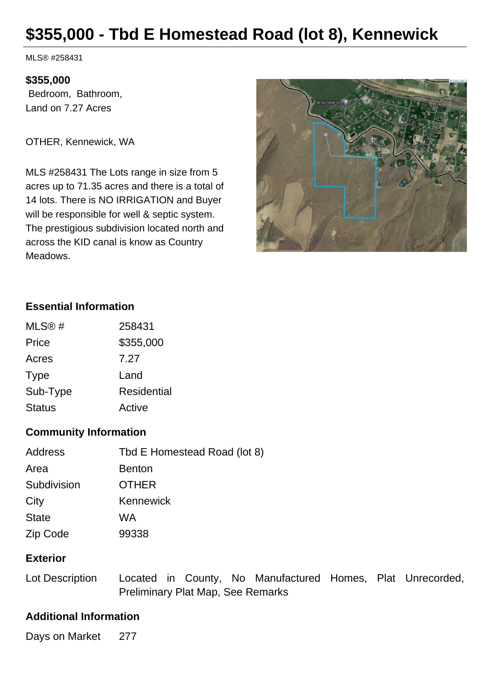# **\$355,000 - Tbd E Homestead Road (lot 8), Kennewick**

MLS® #258431

#### **\$355,000**

 Bedroom, Bathroom, Land on 7.27 Acres

OTHER, Kennewick, WA

MLS #258431 The Lots range in size from 5 acres up to 71.35 acres and there is a total of 14 lots. There is NO IRRIGATION and Buyer will be responsible for well & septic system. The prestigious subdivision located north and across the KID canal is know as Country Meadows.



#### **Essential Information**

| MLS@#         | 258431             |
|---------------|--------------------|
| Price         | \$355,000          |
| Acres         | 7.27               |
| <b>Type</b>   | Land               |
| Sub-Type      | <b>Residential</b> |
| <b>Status</b> | Active             |

#### **Community Information**

| Address      | Tbd E Homestead Road (lot 8) |
|--------------|------------------------------|
| Area         | <b>Benton</b>                |
| Subdivision  | <b>OTHER</b>                 |
| City         | Kennewick                    |
| <b>State</b> | WA                           |
| Zip Code     | 99338                        |

### **Exterior**

Lot Description Located in County, No Manufactured Homes, Plat Unrecorded, Preliminary Plat Map, See Remarks

#### **Additional Information**

Days on Market 277